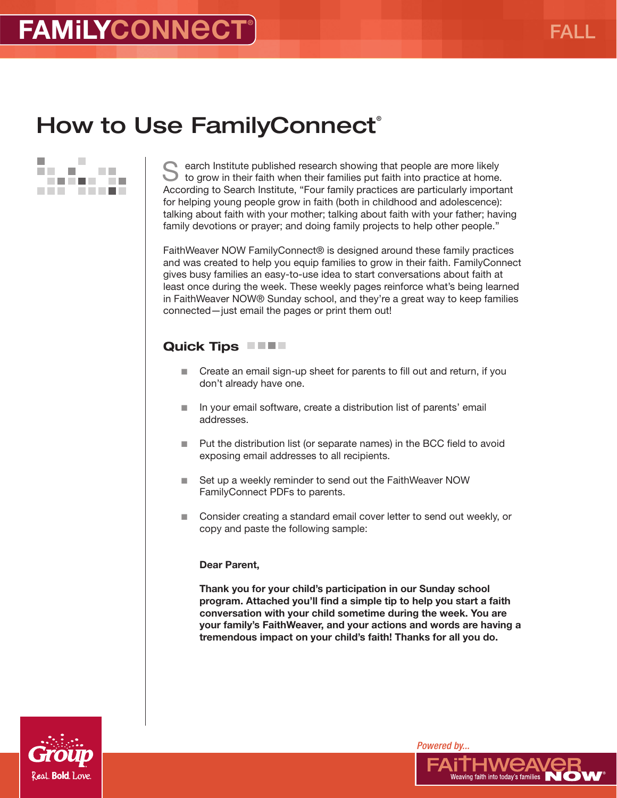### How to Use Family Connect®



Search Institute published research showing that people are more likely to grow in their faith when their families put faith into practice at home. According to Search Institute, "Four family practices are particularly important for helping young people grow in faith (both in childhood and adolescence): talking about faith with your mother; talking about faith with your father; having family devotions or prayer; and doing family projects to help other people."

FaithWeaver NOW FamilyConnect® is designed around these family practices and was created to help you equip families to grow in their faith. FamilyConnect gives busy families an easy-to-use idea to start conversations about faith at least once during the week. These weekly pages reinforce what's being learned in FaithWeaver NOW® Sunday school, and they're a great way to keep families connected—just email the pages or print them out!

### Quick Tips **No. 1.1.**

- Create an email sign-up sheet for parents to fill out and return, if you don't already have one.
- In your email software, create a distribution list of parents' email addresses.
- $\blacksquare$  Put the distribution list (or separate names) in the BCC field to avoid exposing email addresses to all recipients.
- Set up a weekly reminder to send out the FaithWeaver NOW FamilyConnect PDFs to parents.
- Consider creating a standard email cover letter to send out weekly, or copy and paste the following sample:

#### Dear Parent,

Thank you for your child's participation in our Sunday school program. Attached you'll find a simple tip to help you start a faith conversation with your child sometime during the week. You are your family's FaithWeaver, and your actions and words are having a tremendous impact on your child's faith! Thanks for all you do.



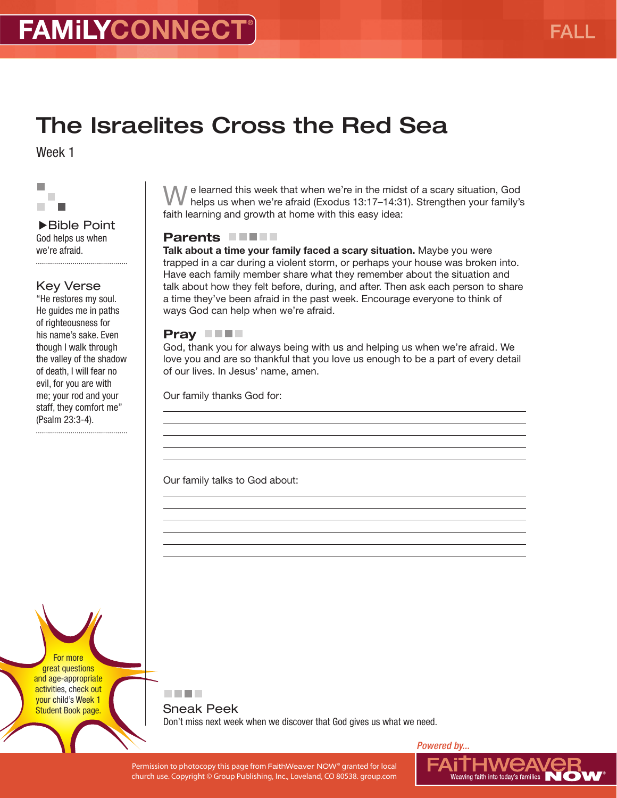## The Israelites Cross the Red Sea

Week 1



Bible Point God helps us when we're afraid.

### Key Verse

"He restores my soul. He guides me in paths of righteousness for his name's sake. Even though I walk through the valley of the shadow of death, I will fear no evil, for you are with me; your rod and your staff, they comfort me" (Psalm 23:3-4).

We learned this week that when we're in the midst of a scary situation, God helps us when we're afraid (Exodus 13:17–14:31). Strengthen your family's faith learning and growth at home with this easy idea:

### Parents **FIFT**

Talk about a time your family faced a scary situation. Maybe you were trapped in a car during a violent storm, or perhaps your house was broken into. Have each family member share what they remember about the situation and talk about how they felt before, during, and after. Then ask each person to share a time they've been afraid in the past week. Encourage everyone to think of ways God can help when we're afraid.

#### Pray **No.**

**. . . .** 

God, thank you for always being with us and helping us when we're afraid. We love you and are so thankful that you love us enough to be a part of every detail of our lives. In Jesus' name, amen.

Our family thanks God for:

Our family talks to God about:

For more great questions and age-appropriate activities, check out your child's Week 1 Student Book page.

Sneak Peek Don't miss next week when we discover that God gives us what we need.

Permission to photocopy this page from FaithWeaver NOW® granted for local church use. Copyright © Group Publishing, Inc., Loveland, CO 80538. group.com

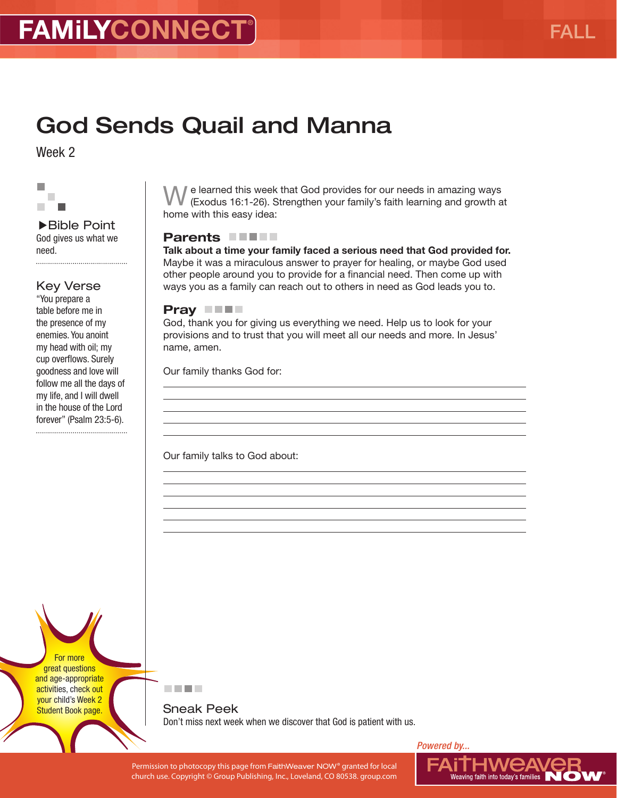## God Sends Quail and Manna

Week 2



Bible Point God gives us what we need. 

#### Key Verse

"You prepare a table before me in the presence of my enemies. You anoint my head with oil; my cup overflows. Surely goodness and love will follow me all the days of my life, and I will dwell in the house of the Lord forever" (Psalm 23:5-6).

 $\mathbb I$  e learned this week that God provides for our needs in amazing ways (Exodus 16:1-26). Strengthen your family's faith learning and growth at home with this easy idea:

#### Parents **FIFT**

Talk about a time your family faced a serious need that God provided for. Maybe it was a miraculous answer to prayer for healing, or maybe God used other people around you to provide for a financial need. Then come up with ways you as a family can reach out to others in need as God leads you to.

### Pray **THE**

God, thank you for giving us everything we need. Help us to look for your provisions and to trust that you will meet all our needs and more. In Jesus' name, amen.

Our family thanks God for:

Our family talks to God about:

For more great questions and age-appropriate activities, check out your child's Week 2 Student Book page.



Sneak Peek Don't miss next week when we discover that God is patient with us.

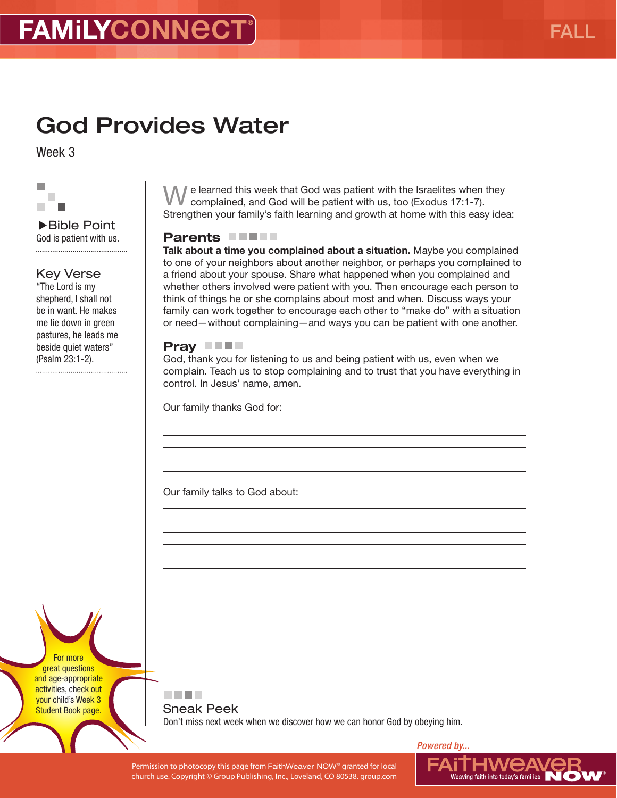# God Provides Water

Week 3



▶Bible Point God is patient with us. 

### Key Verse

"The Lord is my shepherd, I shall not be in want. He makes me lie down in green pastures, he leads me beside quiet waters" (Psalm 23:1-2).

 $\ell$  e learned this week that God was patient with the Israelites when they complained, and God will be patient with us, too (Exodus 17:1-7). Strengthen your family's faith learning and growth at home with this easy idea:

### Parents **FIFT**

Talk about a time you complained about a situation. Maybe you complained to one of your neighbors about another neighbor, or perhaps you complained to a friend about your spouse. Share what happened when you complained and whether others involved were patient with you. Then encourage each person to think of things he or she complains about most and when. Discuss ways your family can work together to encourage each other to "make do" with a situation or need—without complaining—and ways you can be patient with one another.

#### Pray **THE**

God, thank you for listening to us and being patient with us, even when we complain. Teach us to stop complaining and to trust that you have everything in control. In Jesus' name, amen.

Our family thanks God for:

Our family talks to God about:

. . .

For more great questions and age-appropriate activities, check out your child's Week 3 Student Book page.

Sneak Peek Don't miss next week when we discover how we can honor God by obeying him.

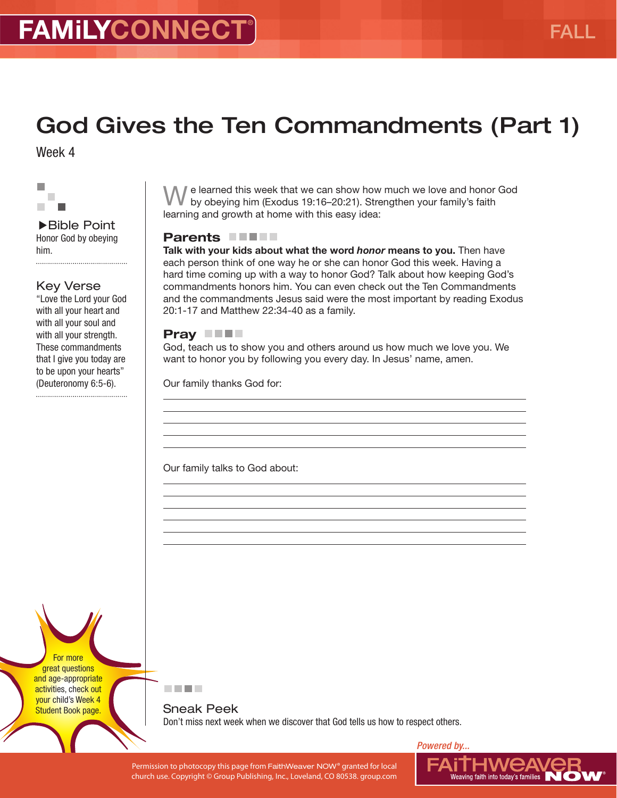# God Gives the Ten Commandments (Part 1)

Week 4



Bible Point Honor God by obeying him. 

### Key Verse

"Love the Lord your God with all your heart and with all your soul and with all your strength. These commandments that I give you today are to be upon your hearts" (Deuteronomy 6:5-6).

I e learned this week that we can show how much we love and honor God by obeying him (Exodus 19:16–20:21). Strengthen your family's faith learning and growth at home with this easy idea:

### Parents **FIFT**

Talk with your kids about what the word *honor* means to you. Then have each person think of one way he or she can honor God this week. Having a hard time coming up with a way to honor God? Talk about how keeping God's commandments honors him. You can even check out the Ten Commandments and the commandments Jesus said were the most important by reading Exodus 20:1-17 and Matthew 22:34-40 as a family.

### Pray **THE**

God, teach us to show you and others around us how much we love you. We want to honor you by following you every day. In Jesus' name, amen.

Our family thanks God for:

Our family talks to God about:

For more great questions and age-appropriate activities, check out your child's Week 4 Student Book page.

#### 医血管肌

Sneak Peek Don't miss next week when we discover that God tells us how to respect others.

Permission to photocopy this page from FaithWeaver NOW® granted for local church use. Copyright © Group Publishing, Inc., Loveland, CO 80538. group.com

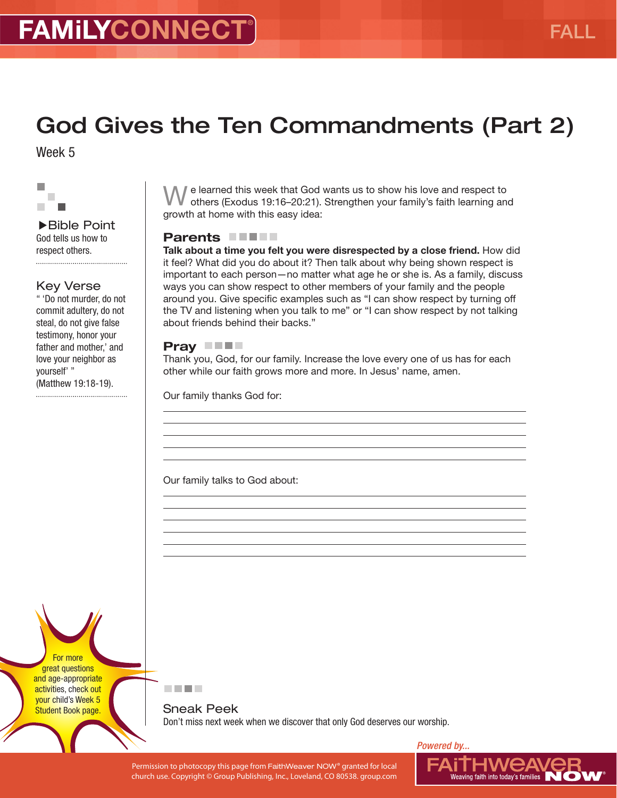# God Gives the Ten Commandments (Part 2)

Week 5



Bible Point God tells us how to respect others. 

#### Key Verse

" 'Do not murder, do not commit adultery, do not steal, do not give false testimony, honor your father and mother,' and love your neighbor as yourself' " (Matthew 19:18-19).

We learned this week that God wants us to show his love and respect to others (Exodus 19:16-20:21). Strengthen your family's faith learning and growth at home with this easy idea:

### Parents **FIFT**

Talk about a time you felt you were disrespected by a close friend. How did it feel? What did you do about it? Then talk about why being shown respect is important to each person—no matter what age he or she is. As a family, discuss ways you can show respect to other members of your family and the people around you. Give specific examples such as "I can show respect by turning off the TV and listening when you talk to me" or "I can show respect by not talking about friends behind their backs."

#### Pray **THE**

Thank you, God, for our family. Increase the love every one of us has for each other while our faith grows more and more. In Jesus' name, amen.

Our family thanks God for:

Our family talks to God about:

For more great questions and age-appropriate activities, check out your child's Week 5 Student Book page.



Sneak Peek Don't miss next week when we discover that only God deserves our worship.

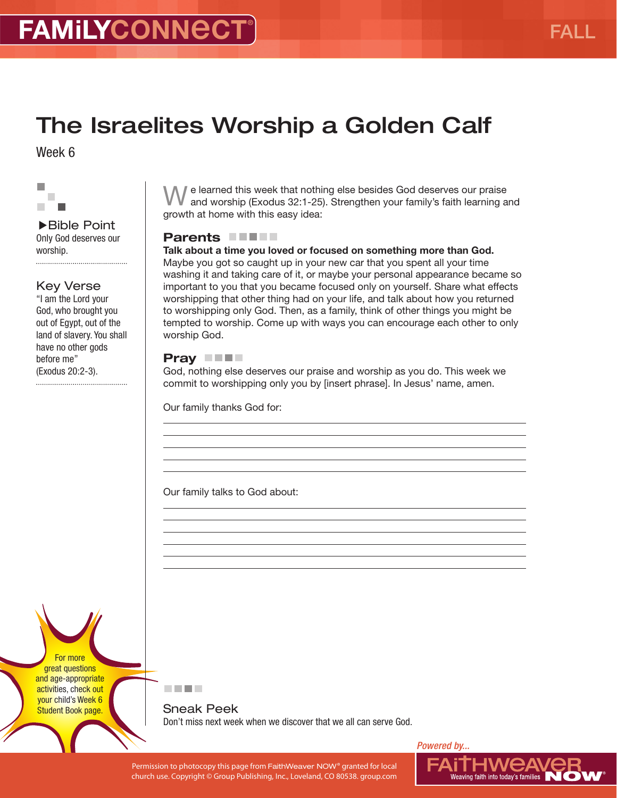# The Israelites Worship a Golden Calf

Week 6



Bible Point Only God deserves our worship. 

#### Key Verse

"I am the Lord your God, who brought you out of Egypt, out of the land of slavery. You shall have no other gods before me" (Exodus 20:2-3).

We learned this week that nothing else besides God deserves our praise and worship (Exodus 32:1-25). Strengthen your family's faith learning and growth at home with this easy idea:

### Parents **FIFT**

Talk about a time you loved or focused on something more than God. Maybe you got so caught up in your new car that you spent all your time washing it and taking care of it, or maybe your personal appearance became so important to you that you became focused only on yourself. Share what effects worshipping that other thing had on your life, and talk about how you returned to worshipping only God. Then, as a family, think of other things you might be tempted to worship. Come up with ways you can encourage each other to only worship God.

### Pray **NH**

God, nothing else deserves our praise and worship as you do. This week we commit to worshipping only you by [insert phrase]. In Jesus' name, amen.

Our family thanks God for:

Our family talks to God about:

For more great questions and age-appropriate activities, check out your child's Week 6 Student Book page.



Sneak Peek Don't miss next week when we discover that we all can serve God.

*Powered by...*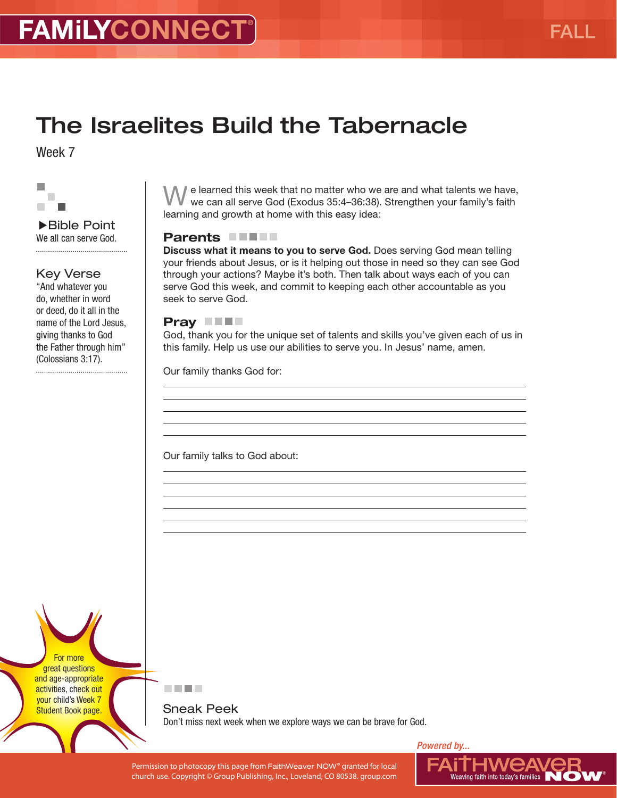## The Israelites Build the Tabernacle

Week 7



Bible Point We all can serve God. 

### Key Verse

"And whatever you do, whether in word or deed, do it all in the name of the Lord Jesus, giving thanks to God the Father through him" (Colossians 3:17).

 $\mathbb I$  e learned this week that no matter who we are and what talents we have, we can all serve God (Exodus 35:4–36:38). Strengthen your family's faith learning and growth at home with this easy idea:

#### Parents **NAME**

Discuss what it means to you to serve God. Does serving God mean telling your friends about Jesus, or is it helping out those in need so they can see God through your actions? Maybe it's both. Then talk about ways each of you can serve God this week, and commit to keeping each other accountable as you seek to serve God.

#### Pray **THE**

God, thank you for the unique set of talents and skills you've given each of us in this family. Help us use our abilities to serve you. In Jesus' name, amen.

Our family thanks God for:

Our family talks to God about:

For more great questions and age-appropriate activities, check out your child's Week 7 Student Book page.



Sneak Peek Don't miss next week when we explore ways we can be brave for God.

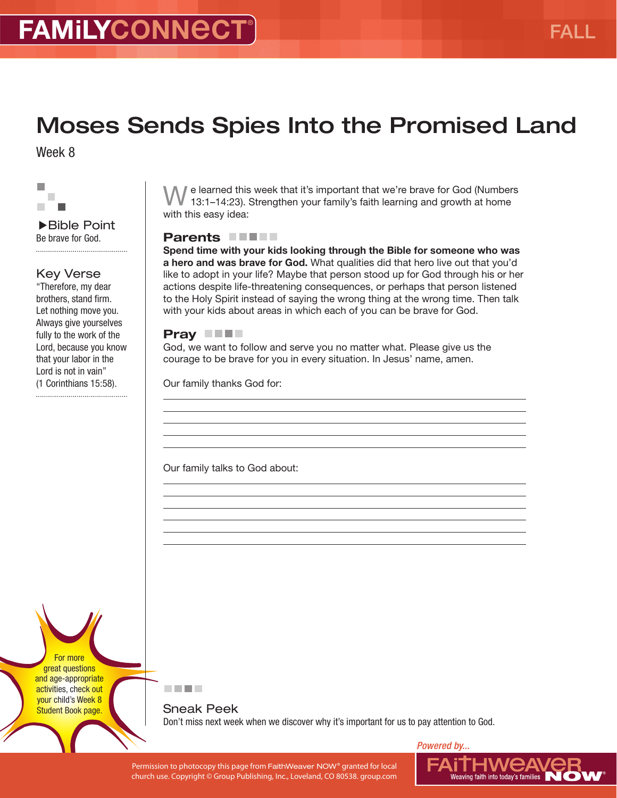# Moses Sends Spies Into the Promised Land

Week 8



Bible Point Be brave for God. 

### Key Verse

"Therefore, my dear brothers, stand firm. Let nothing move you. Always give yourselves fully to the work of the Lord, because you know that your labor in the Lord is not in vain" (1 Corinthians 15:58).

We learned this week that it's important that we're brave for God (Numbers 13:1–14:23). Strengthen your family's faith learning and growth at home with this easy idea:

### Parents **FIFT**

Spend time with your kids looking through the Bible for someone who was a hero and was brave for God. What qualities did that hero live out that you'd like to adopt in your life? Maybe that person stood up for God through his or her actions despite life-threatening consequences, or perhaps that person listened to the Holy Spirit instead of saying the wrong thing at the wrong time. Then talk with your kids about areas in which each of you can be brave for God.

#### Pray **NH**

God, we want to follow and serve you no matter what. Please give us the courage to be brave for you in every situation. In Jesus' name, amen.

Our family thanks God for:

Our family talks to God about:

For more great questions and age-appropriate activities, check out your child's Week 8 Student Book page.



Sneak Peek Don't miss next week when we discover why it's important for us to pay attention to God.

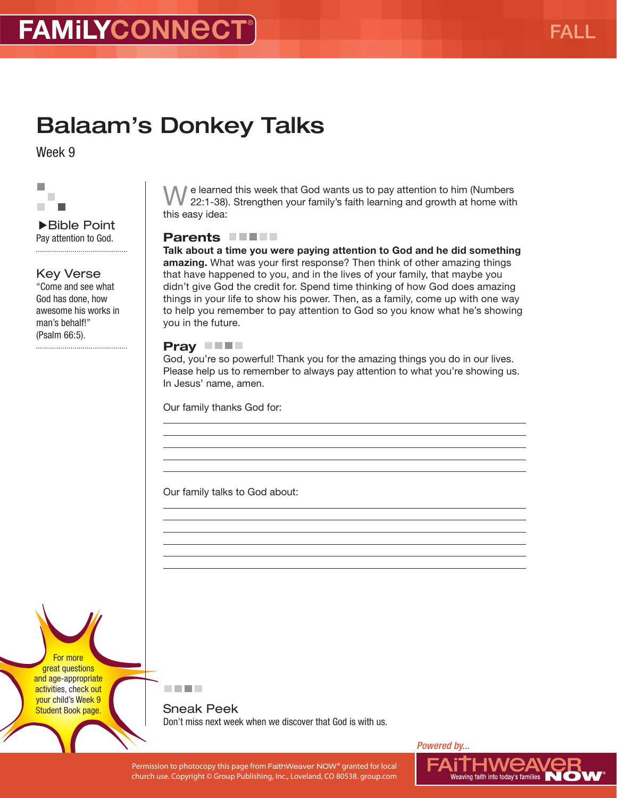# Balaam's Donkey Talks

Week 9



▶Bible Point Pay attention to God. 

### Key Verse

"Come and see what God has done, how awesome his works in man's behalf!" (Psalm 66:5).

We learned this week that God wants us to pay attention to him (Numbers 22:1-38). Strengthen your family's faith learning and growth at home with this easy idea:

### Parents **FIFT**

Talk about a time you were paying attention to God and he did something amazing. What was your first response? Then think of other amazing things that have happened to you, and in the lives of your family, that maybe you didn't give God the credit for. Spend time thinking of how God does amazing things in your life to show his power. Then, as a family, come up with one way to help you remember to pay attention to God so you know what he's showing you in the future.

#### Pray **THE**

God, you're so powerful! Thank you for the amazing things you do in our lives. Please help us to remember to always pay attention to what you're showing us. In Jesus' name, amen.

Our family thanks God for:

Our family talks to God about:

For more great questions and age-appropriate activities, check out your child's Week 9 Student Book page.



Sneak Peek Don't miss next week when we discover that God is with us.



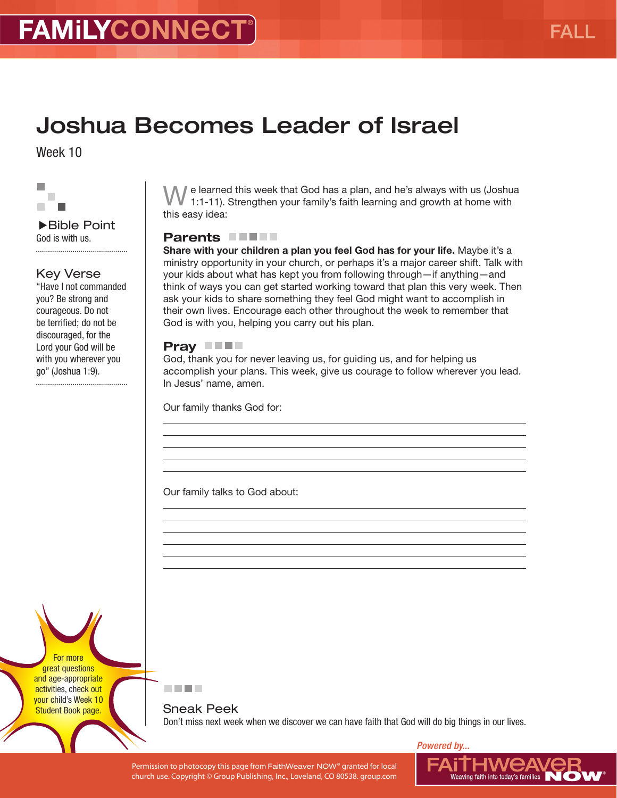## Joshua Becomes Leader of Israel

Week 10



Bible Point God is with us. 

### Key Verse

"Have I not commanded you? Be strong and courageous. Do not be terrified; do not be discouraged, for the Lord your God will be with you wherever you go" (Joshua 1:9). 

We learned this week that God has a plan, and he's always with us (Joshua 1:1-11). Strengthen your family's faith learning and growth at home with this easy idea:

#### Parents **No. 4**

Share with your children a plan you feel God has for your life. Maybe it's a ministry opportunity in your church, or perhaps it's a major career shift. Talk with your kids about what has kept you from following through—if anything—and think of ways you can get started working toward that plan this very week. Then ask your kids to share something they feel God might want to accomplish in their own lives. Encourage each other throughout the week to remember that God is with you, helping you carry out his plan.

#### Pray **THE**

God, thank you for never leaving us, for guiding us, and for helping us accomplish your plans. This week, give us courage to follow wherever you lead. In Jesus' name, amen.

Our family thanks God for:

Our family talks to God about:

For more great questions and age-appropriate activities, check out your child's Week 10 Student Book page.



Sneak Peek Don't miss next week when we discover we can have faith that God will do big things in our lives.

*Powered by...*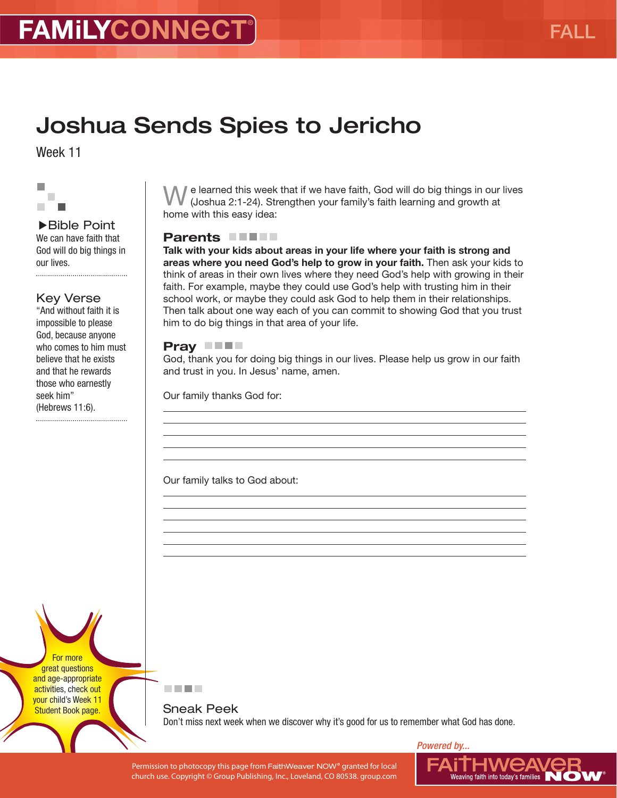# Joshua Sends Spies to Jericho

Week 11

#### r. T. п

▶Bible Point We can have faith that God will do big things in our lives.

### Key Verse

"And without faith it is impossible to please God, because anyone who comes to him must believe that he exists and that he rewards those who earnestly seek him" (Hebrews 11:6).

If e learned this week that if we have faith, God will do big things in our lives (Joshua 2:1-24). Strengthen your family's faith learning and growth at home with this easy idea:

### Parents **NUMBER**

Talk with your kids about areas in your life where your faith is strong and areas where you need God's help to grow in your faith. Then ask your kids to think of areas in their own lives where they need God's help with growing in their faith. For example, maybe they could use God's help with trusting him in their school work, or maybe they could ask God to help them in their relationships. Then talk about one way each of you can commit to showing God that you trust him to do big things in that area of your life.

#### Pray **THE**

God, thank you for doing big things in our lives. Please help us grow in our faith and trust in you. In Jesus' name, amen.

Our family thanks God for:

Our family talks to God about:

For more great questions and age-appropriate activities, check out your child's Week 11 Student Book page.



Sneak Peek Don't miss next week when we discover why it's good for us to remember what God has done.

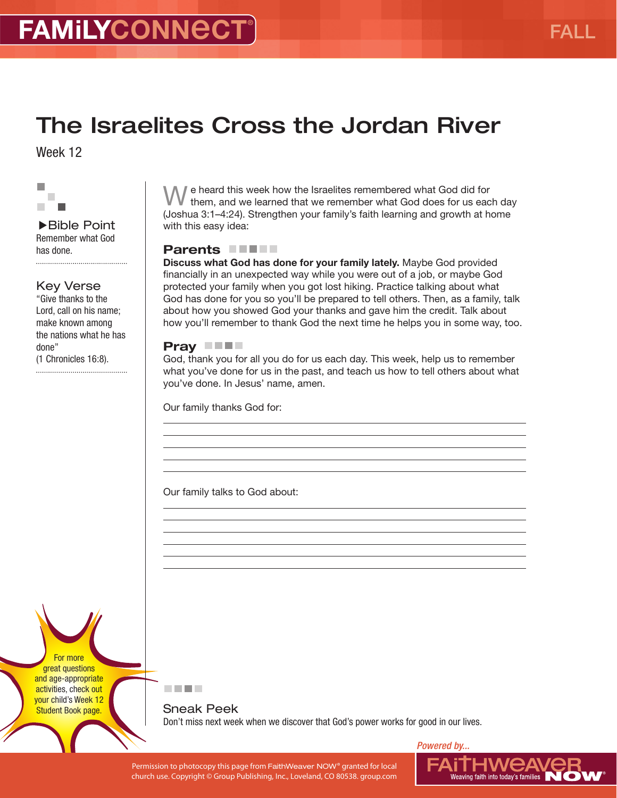## The Israelites Cross the Jordan River

Week 12



Bible Point Remember what God has done. 

Key Verse

"Give thanks to the Lord, call on his name; make known among the nations what he has done" (1 Chronicles 16:8).

We heard this week how the Israelites remembered what God did for them, and we learned that we remember what God does for us each day (Joshua 3:1–4:24). Strengthen your family's faith learning and growth at home with this easy idea:

#### Parents **NUMBER**

Discuss what God has done for your family lately. Maybe God provided financially in an unexpected way while you were out of a job, or maybe God protected your family when you got lost hiking. Practice talking about what God has done for you so you'll be prepared to tell others. Then, as a family, talk about how you showed God your thanks and gave him the credit. Talk about how you'll remember to thank God the next time he helps you in some way, too.

#### Pray **THE**

God, thank you for all you do for us each day. This week, help us to remember what you've done for us in the past, and teach us how to tell others about what you've done. In Jesus' name, amen.

Our family thanks God for:

Our family talks to God about:

For more great questions and age-appropriate activities, check out your child's Week 12 Student Book page.

医血管肌

Sneak Peek Don't miss next week when we discover that God's power works for good in our lives.